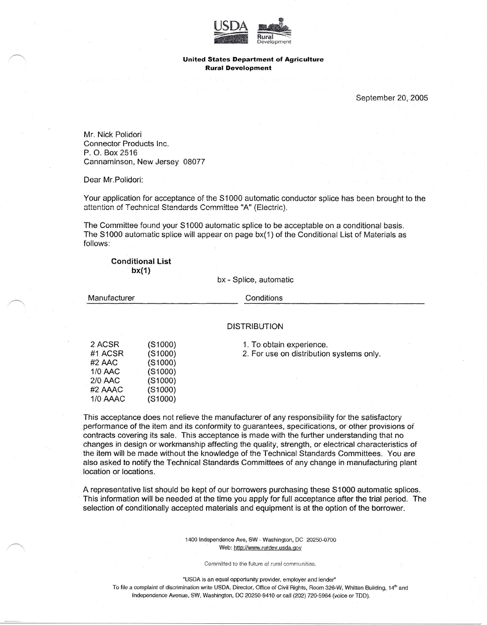

## **United States Department of Agriculture Rural Development**

September 20, 2005

Mr. Nick Polidori Connector Products Inc. P. O. Box 2516 Cannaminson, New Jersey 08077

Dear Mr.Polidori:

Your application for acceptance of the S1000 automatic conductor splice has been brought to the attention of Technical Standards Committee "A" (Electric).

The Committee found your S1000 automatic splice to be acceptable on a conditional basis. The S1000 automatic splice will appear on page bx(1) of the Conditional List of Materials as follows:

**Conditional list bX(1)**

bx - Splice, automatic

Manufacturer **Conditions** 

## DISTRIBUTION

| 2 ACSR   | (S1000)       |
|----------|---------------|
| #1 ACSR  | (S1000)       |
| #2 AAC   | $($ S1000 $)$ |
| 1/0 AAC  | $($ S1000 $)$ |
| 2/0 AAC  | (S1000)       |
| #2 AAAC  | (S1000)       |
| 1/0 AAAC | (S1000)       |

1. To obtain experience.

2. For use on distribution systems only.

This acceptance does not relieve the manufacturer of any responsibility for the satisfactory performance of the item and its conformity to guarantees, specifications, or other provisions of contracts covering its sale. This acceptance is made with the further understanding that no changes in design or workmanship affecting the quality, strength, or electrical characteristics of the item will be made without the knowledge of the Technical Standards Committees. You are also asked to notify the Technical Standards Committees of any change in manufacturing plant location or locations.

A representative list should be kept of our borrowers purchasing these S1000 automatic splices. This information will be needed at the time you apply for full acceptance after the trial period. The selection of conditionally accepted materials and equipment is at the option of the borrower.

> 1400 Independence Ave, SW· Washington, DC 20250-0700 Web: http://www.rurdev.usda.gov

> > Committed io the future of rural communities.

'USDA is an equal opportunity provider, employer and lender"

To file a complaint of discrimination write USDA, Director, Office of Civil Rights, Room 326-W, Whitten Building, 14<sup>th</sup> and Independence Avenue, SW, Washington, DC 20250-9410 or call (202) 720-5964 (voice or TOO).